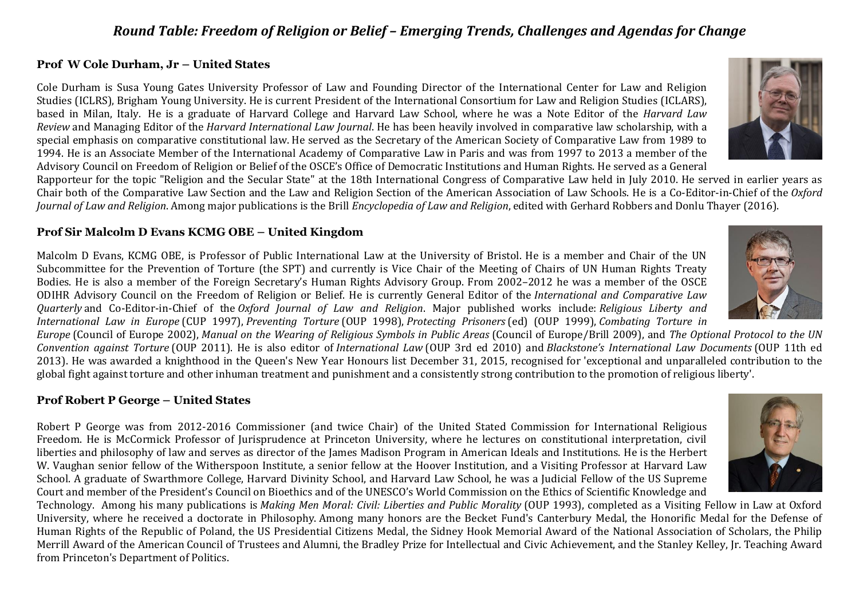# *Round Table: Freedom of Religion or Belief – Emerging Trends, Challenges and Agendas for Change*

#### **Prof W Cole Durham, Jr – United States**

Cole Durham is Susa Young Gates University Professor of Law and Founding Director of the International Center for Law and Religion Studies (ICLRS), Brigham Young University. He is current President of the International Consortium for Law and Religion Studies (ICLARS), based in Milan, Italy. He is a graduate of Harvard College and Harvard Law School, where he was a Note Editor of the *Harvard Law Review* and Managing Editor of the *Harvard International Law Journal*. He has been heavily involved in comparative law scholarship, with a special emphasis on comparative constitutional law. He served as the Secretary of the American Society of Comparative Law from 1989 to 1994. He is an Associate Member of the International Academy of Comparative Law in Paris and was from 1997 to 2013 a member of the Advisory Council on Freedom of Religion or Belief of the OSCE's Office of Democratic Institutions and Human Rights. He served as a General

Rapporteur for the topic "Religion and the Secular State" at the 18th International Congress of Comparative Law held in July 2010. He served in earlier years as Chair both of the Comparative Law Section and the Law and Religion Section of the American Association of Law Schools. He is a Co-Editor-in-Chief of the *Oxford Journal of Law and Religion*. Among major publications is the Brill *Encyclopedia of Law and Religion*, edited with Gerhard Robbers and Donlu Thayer (2016).

## **Prof Sir Malcolm D Evans KCMG OBE – United Kingdom**

Malcolm D Evans, KCMG OBE, is Professor of Public International Law at the University of Bristol. He is a member and Chair of the UN Subcommittee for the Prevention of Torture (the SPT) and currently is Vice Chair of the Meeting of Chairs of UN Human Rights Treaty Bodies. He is also a member of the Foreign Secretary's Human Rights Advisory Group. From 2002–2012 he was a member of the OSCE ODIHR Advisory Council on the Freedom of Religion or Belief. He is currently General Editor of the *International and Comparative Law Quarterly* and Co-Editor-in-Chief of the *Oxford Journal of Law and Religion*. Major published works include: *Religious Liberty and International Law in Europe* (CUP 1997), *Preventing Torture* (OUP 1998), *Protecting Prisoners* (ed) (OUP 1999), *Combating Torture in* 

*Europe* (Council of Europe 2002), *Manual on the Wearing of Religious Symbols in Public Areas* (Council of Europe/Brill 2009), and *The Optional Protocol to the UN Convention against Torture* (OUP 2011). He is also editor of *International Law* (OUP 3rd ed 2010) and *Blackstone's International Law Documents* (OUP 11th ed 2013). He was awarded a knighthood in the Queen's New Year Honours list December 31, 2015, recognised for 'exceptional and unparalleled contribution to the global fight against torture and other inhuman treatment and punishment and a consistently strong contribution to the promotion of religious liberty'.

### **Prof Robert P George – United States**

Robert P George was from 2012-2016 Commissioner (and twice Chair) of the United Stated Commission for International Religious Freedom. He is McCormick Professor of Jurisprudence at Princeton University, where he lectures on constitutional interpretation, civil liberties and philosophy of law and serves as director of the James Madison Program in American Ideals and Institutions. He is the Herbert W. Vaughan senior fellow of the Witherspoon Institute, a senior fellow at the Hoover Institution, and a Visiting Professor at Harvard Law School. A graduate of Swarthmore College, Harvard Divinity School, and Harvard Law School, he was a Judicial Fellow of the US Supreme Court and member of the President's Council on Bioethics and of the UNESCO's World Commission on the Ethics of Scientific Knowledge and

Technology. Among his many publications is *Making Men Moral: Civil: Liberties and Public Morality* (OUP 1993), completed as a Visiting Fellow in Law at Oxford University, where he received a doctorate in Philosophy. Among many honors are the Becket Fund's Canterbury Medal, the Honorific Medal for the Defense of Human Rights of the Republic of Poland, the US Presidential Citizens Medal, the Sidney Hook Memorial Award of the National Association of Scholars, the Philip Merrill Award of the American Council of Trustees and Alumni, the Bradley Prize for Intellectual and Civic Achievement, and the Stanley Kelley, Jr. Teaching Award from Princeton's Department of Politics.